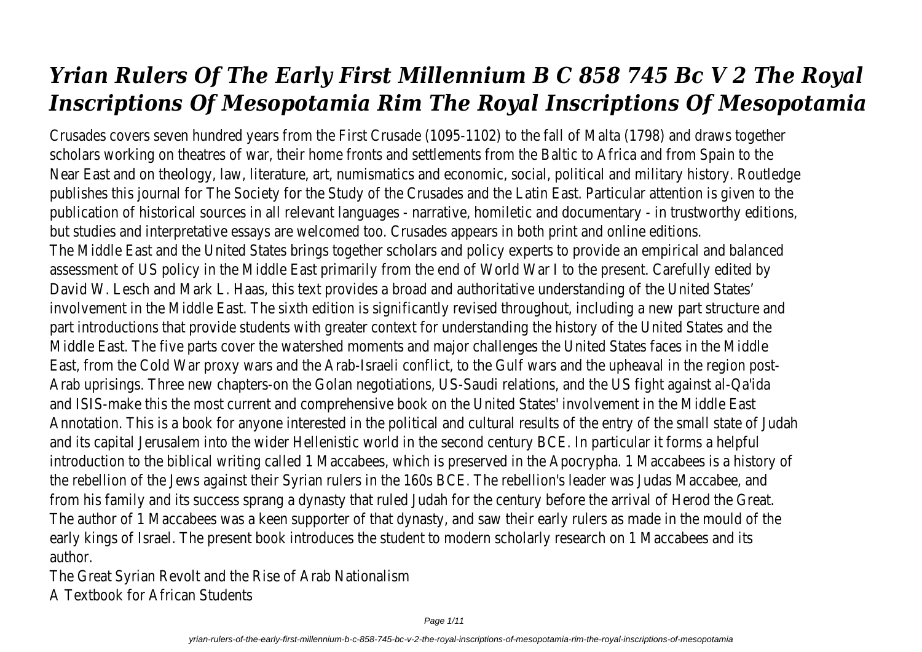# *Yrian Rulers Of The Early First Millennium B C 858 745 Bc V 2 The Royal Inscriptions Of Mesopotamia Rim The Royal Inscriptions Of Mesopotamia*

Crusades covers seven hundred years from the First Crusade (1095-1102) to the fall of Malta (1798) and draws together scholars working on theatres of war, their home fronts and settlements from the Baltic to Africa and from Spain to the Near East and on theology, law, literature, art, numismatics and economic, social, political and military history. Routledge publishes this journal for The Society for the Study of the Crusades and the Latin East. Particular attention is given to the publication of historical sources in all relevant languages - narrative, homiletic and documentary - in trustworthy editions, but studies and interpretative essays are welcomed too. Crusades appears in both print and online editions. The Middle East and the United States brings together scholars and policy experts to provide an empirical and balanced assessment of US policy in the Middle East primarily from the end of World War I to the present. Carefully edited by David W. Lesch and Mark L. Haas, this text provides a broad and authoritative understanding of the United States' involvement in the Middle East. The sixth edition is significantly revised throughout, including a new part structure and part introductions that provide students with greater context for understanding the history of the United States and the Middle East. The five parts cover the watershed moments and major challenges the United States faces in the Middle East, from the Cold War proxy wars and the Arab-Israeli conflict, to the Gulf wars and the upheaval in the region post-Arab uprisings. Three new chapters-on the Golan negotiations, US-Saudi relations, and the US fight against al-Qa'ida and ISIS-make this the most current and comprehensive book on the United States' involvement in the Middle East Annotation. This is a book for anyone interested in the political and cultural results of the entry of the small state of Judah and its capital Jerusalem into the wider Hellenistic world in the second century BCE. In particular it forms a helpful introduction to the biblical writing called 1 Maccabees, which is preserved in the Apocrypha. 1 Maccabees is a history of the rebellion of the Jews against their Syrian rulers in the 160s BCE. The rebellion's leader was Judas Maccabee, and from his family and its success sprang a dynasty that ruled Judah for the century before the arrival of Herod the Great. The author of 1 Maccabees was a keen supporter of that dynasty, and saw their early rulers as made in the mould of the early kings of Israel. The present book introduces the student to modern scholarly research on 1 Maccabees and its author.

The Great Syrian Revolt and the Rise of Arab Nationalism A Textbook for African Students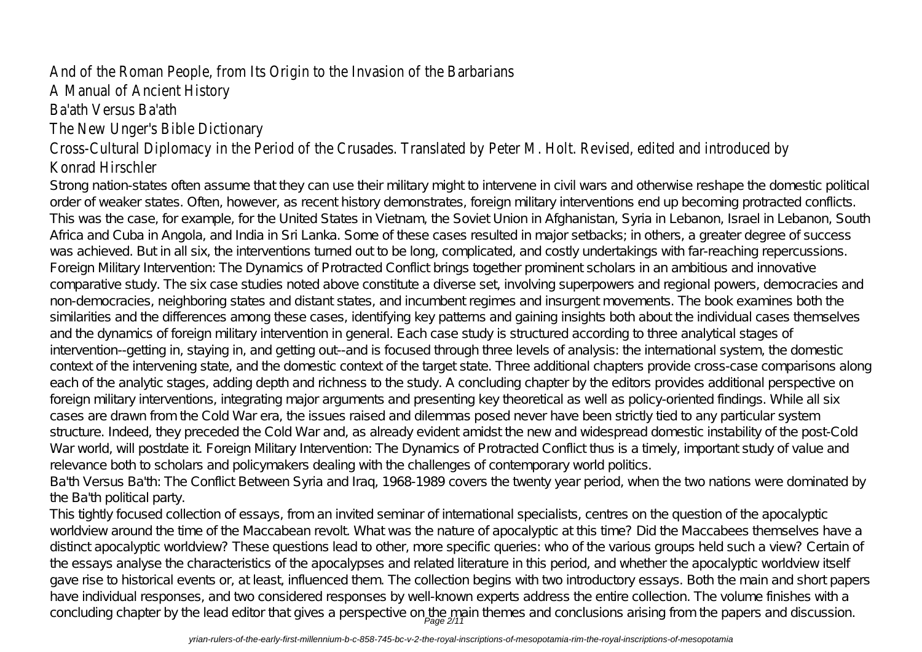## And of the Roman People, from Its Origin to the Invasion of the Barbarians A Manual of Ancient History Ba'ath Versus Ba'ath The New Unger's Bible Dictionary Cross-Cultural Diplomacy in the Period of the Crusades. Translated by Peter M. Holt. Revised, edited and introduced by Konrad Hirschler

Strong nation-states often assume that they can use their military might to intervene in civil wars and otherwise reshape the domestic political order of weaker states. Often, however, as recent history demonstrates, foreign military interventions end up becoming protracted conflicts. This was the case, for example, for the United States in Vietnam, the Soviet Union in Afghanistan, Syria in Lebanon, Israel in Lebanon, South Africa and Cuba in Angola, and India in Sri Lanka. Some of these cases resulted in major setbacks; in others, a greater degree of success was achieved. But in all six, the interventions turned out to be long, complicated, and costly undertakings with far-reaching repercussions. Foreign Military Intervention: The Dynamics of Protracted Conflict brings together prominent scholars in an ambitious and innovative comparative study. The six case studies noted above constitute a diverse set, involving superpowers and regional powers, democracies and non-democracies, neighboring states and distant states, and incumbent regimes and insurgent movements. The book examines both the similarities and the differences among these cases, identifying key patterns and gaining insights both about the individual cases themselves and the dynamics of foreign military intervention in general. Each case study is structured according to three analytical stages of intervention--getting in, staying in, and getting out--and is focused through three levels of analysis: the international system, the domestic context of the intervening state, and the domestic context of the target state. Three additional chapters provide cross-case comparisons along each of the analytic stages, adding depth and richness to the study. A concluding chapter by the editors provides additional perspective on foreign military interventions, integrating major arguments and presenting key theoretical as well as policy-oriented findings. While all six cases are drawn from the Cold War era, the issues raised and dilemmas posed never have been strictly tied to any particular system structure. Indeed, they preceded the Cold War and, as already evident amidst the new and widespread domestic instability of the post-Cold War world, will postdate it. Foreign Military Intervention: The Dynamics of Protracted Conflict thus is a timely, important study of value and relevance both to scholars and policymakers dealing with the challenges of contemporary world politics.

Ba'th Versus Ba'th: The Conflict Between Syria and Iraq, 1968-1989 covers the twenty year period, when the two nations were dominated by the Ba'th political party.

This tightly focused collection of essays, from an invited seminar of international specialists, centres on the question of the apocalyptic worldview around the time of the Maccabean revolt. What was the nature of apocalyptic at this time? Did the Maccabees themselves have a distinct apocalyptic worldview? These questions lead to other, more specific queries: who of the various groups held such a view? Certain of the essays analyse the characteristics of the apocalypses and related literature in this period, and whether the apocalyptic worldview itself gave rise to historical events or, at least, influenced them. The collection begins with two introductory essays. Both the main and short papers have individual responses, and two considered responses by well-known experts address the entire collection. The volume finishes with a concluding chapter by the lead editor that gives a perspective on the main themes and conclusions arising from the papers and discussion.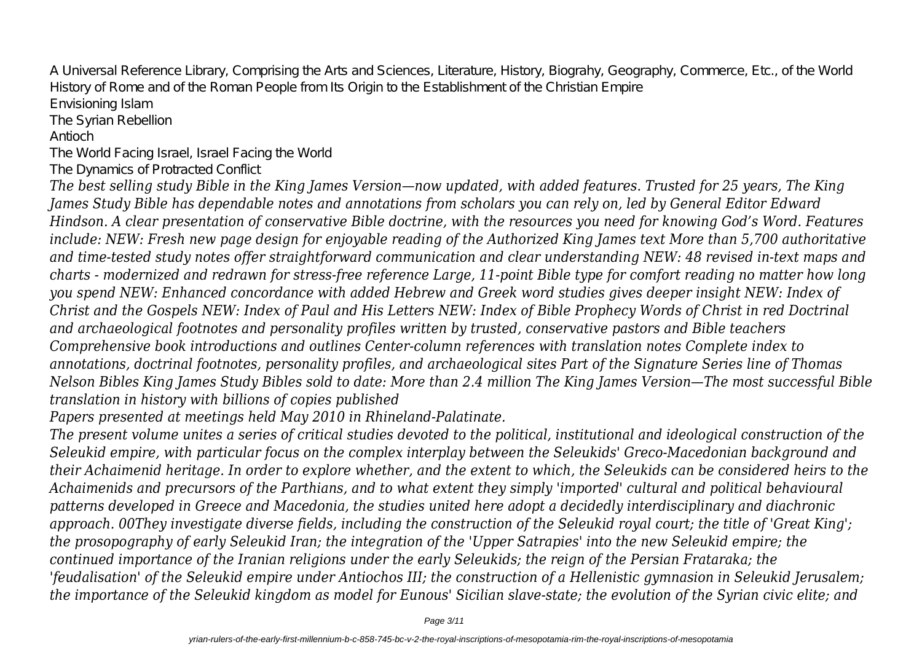A Universal Reference Library, Comprising the Arts and Sciences, Literature, History, Biograhy, Geography, Commerce, Etc., of the World History of Rome and of the Roman People from Its Origin to the Establishment of the Christian Empire Envisioning Islam The Syrian Rebellion Antioch The World Facing Israel, Israel Facing the World The Dynamics of Protracted Conflict

*The best selling study Bible in the King James Version—now updated, with added features. Trusted for 25 years, The King James Study Bible has dependable notes and annotations from scholars you can rely on, led by General Editor Edward Hindson. A clear presentation of conservative Bible doctrine, with the resources you need for knowing God's Word. Features include: NEW: Fresh new page design for enjoyable reading of the Authorized King James text More than 5,700 authoritative and time-tested study notes offer straightforward communication and clear understanding NEW: 48 revised in-text maps and charts - modernized and redrawn for stress-free reference Large, 11-point Bible type for comfort reading no matter how long you spend NEW: Enhanced concordance with added Hebrew and Greek word studies gives deeper insight NEW: Index of Christ and the Gospels NEW: Index of Paul and His Letters NEW: Index of Bible Prophecy Words of Christ in red Doctrinal and archaeological footnotes and personality profiles written by trusted, conservative pastors and Bible teachers Comprehensive book introductions and outlines Center-column references with translation notes Complete index to annotations, doctrinal footnotes, personality profiles, and archaeological sites Part of the Signature Series line of Thomas Nelson Bibles King James Study Bibles sold to date: More than 2.4 million The King James Version—The most successful Bible translation in history with billions of copies published*

*Papers presented at meetings held May 2010 in Rhineland-Palatinate.*

*The present volume unites a series of critical studies devoted to the political, institutional and ideological construction of the Seleukid empire, with particular focus on the complex interplay between the Seleukids' Greco-Macedonian background and their Achaimenid heritage. In order to explore whether, and the extent to which, the Seleukids can be considered heirs to the Achaimenids and precursors of the Parthians, and to what extent they simply 'imported' cultural and political behavioural patterns developed in Greece and Macedonia, the studies united here adopt a decidedly interdisciplinary and diachronic approach. 00They investigate diverse fields, including the construction of the Seleukid royal court; the title of 'Great King'; the prosopography of early Seleukid Iran; the integration of the 'Upper Satrapies' into the new Seleukid empire; the continued importance of the Iranian religions under the early Seleukids; the reign of the Persian Frataraka; the 'feudalisation' of the Seleukid empire under Antiochos III; the construction of a Hellenistic gymnasion in Seleukid Jerusalem; the importance of the Seleukid kingdom as model for Eunous' Sicilian slave-state; the evolution of the Syrian civic elite; and*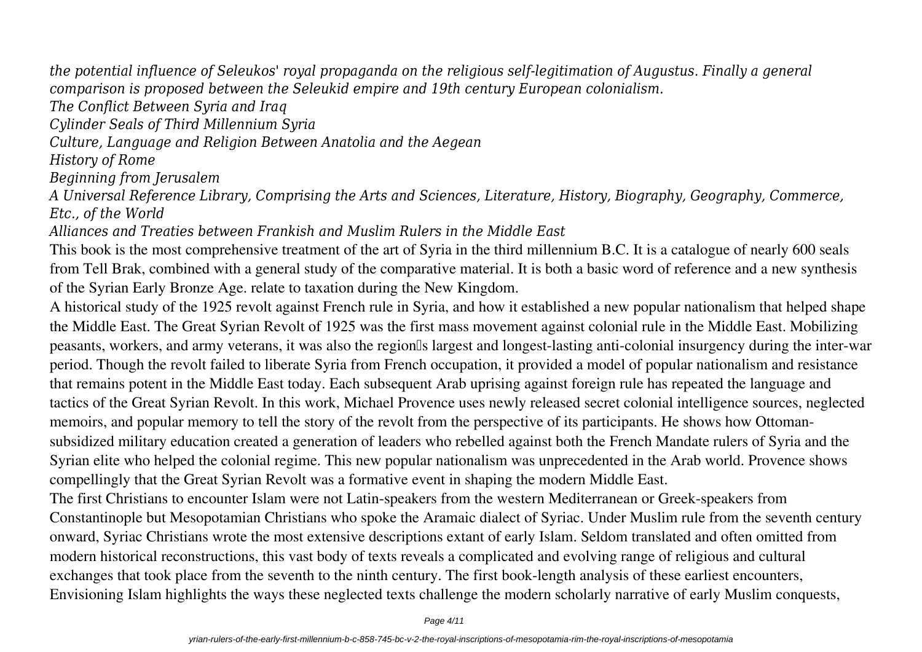*the potential influence of Seleukos' royal propaganda on the religious self-legitimation of Augustus. Finally a general comparison is proposed between the Seleukid empire and 19th century European colonialism.*

*The Conflict Between Syria and Iraq*

*Cylinder Seals of Third Millennium Syria*

*Culture, Language and Religion Between Anatolia and the Aegean*

*History of Rome*

*Beginning from Jerusalem*

*A Universal Reference Library, Comprising the Arts and Sciences, Literature, History, Biography, Geography, Commerce, Etc., of the World*

*Alliances and Treaties between Frankish and Muslim Rulers in the Middle East*

This book is the most comprehensive treatment of the art of Syria in the third millennium B.C. It is a catalogue of nearly 600 seals from Tell Brak, combined with a general study of the comparative material. It is both a basic word of reference and a new synthesis of the Syrian Early Bronze Age. relate to taxation during the New Kingdom.

A historical study of the 1925 revolt against French rule in Syria, and how it established a new popular nationalism that helped shape the Middle East. The Great Syrian Revolt of 1925 was the first mass movement against colonial rule in the Middle East. Mobilizing peasants, workers, and army veterans, it was also the region's largest and longest-lasting anti-colonial insurgency during the inter-war period. Though the revolt failed to liberate Syria from French occupation, it provided a model of popular nationalism and resistance that remains potent in the Middle East today. Each subsequent Arab uprising against foreign rule has repeated the language and tactics of the Great Syrian Revolt. In this work, Michael Provence uses newly released secret colonial intelligence sources, neglected memoirs, and popular memory to tell the story of the revolt from the perspective of its participants. He shows how Ottomansubsidized military education created a generation of leaders who rebelled against both the French Mandate rulers of Syria and the Syrian elite who helped the colonial regime. This new popular nationalism was unprecedented in the Arab world. Provence shows compellingly that the Great Syrian Revolt was a formative event in shaping the modern Middle East.

The first Christians to encounter Islam were not Latin-speakers from the western Mediterranean or Greek-speakers from Constantinople but Mesopotamian Christians who spoke the Aramaic dialect of Syriac. Under Muslim rule from the seventh century onward, Syriac Christians wrote the most extensive descriptions extant of early Islam. Seldom translated and often omitted from modern historical reconstructions, this vast body of texts reveals a complicated and evolving range of religious and cultural exchanges that took place from the seventh to the ninth century. The first book-length analysis of these earliest encounters, Envisioning Islam highlights the ways these neglected texts challenge the modern scholarly narrative of early Muslim conquests,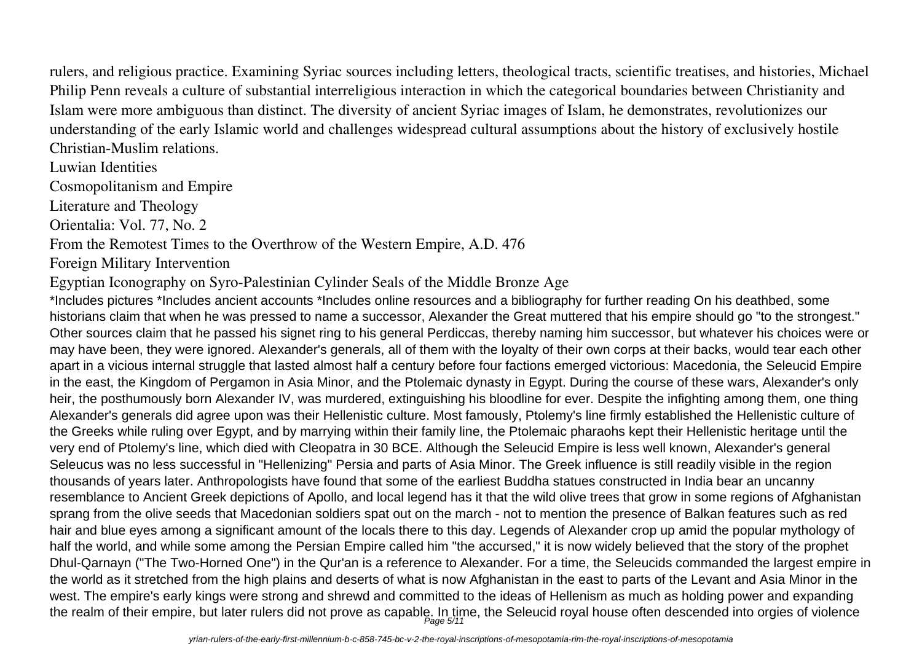rulers, and religious practice. Examining Syriac sources including letters, theological tracts, scientific treatises, and histories, Michael Philip Penn reveals a culture of substantial interreligious interaction in which the categorical boundaries between Christianity and Islam were more ambiguous than distinct. The diversity of ancient Syriac images of Islam, he demonstrates, revolutionizes our understanding of the early Islamic world and challenges widespread cultural assumptions about the history of exclusively hostile Christian-Muslim relations.

Luwian Identities

Cosmopolitanism and Empire

Literature and Theology

Orientalia: Vol. 77, No. 2

From the Remotest Times to the Overthrow of the Western Empire, A.D. 476

Foreign Military Intervention

Egyptian Iconography on Syro-Palestinian Cylinder Seals of the Middle Bronze Age

\*Includes pictures \*Includes ancient accounts \*Includes online resources and a bibliography for further reading On his deathbed, some historians claim that when he was pressed to name a successor, Alexander the Great muttered that his empire should go "to the strongest." Other sources claim that he passed his signet ring to his general Perdiccas, thereby naming him successor, but whatever his choices were or may have been, they were ignored. Alexander's generals, all of them with the loyalty of their own corps at their backs, would tear each other apart in a vicious internal struggle that lasted almost half a century before four factions emerged victorious: Macedonia, the Seleucid Empire in the east, the Kingdom of Pergamon in Asia Minor, and the Ptolemaic dynasty in Egypt. During the course of these wars, Alexander's only heir, the posthumously born Alexander IV, was murdered, extinguishing his bloodline for ever. Despite the infighting among them, one thing Alexander's generals did agree upon was their Hellenistic culture. Most famously, Ptolemy's line firmly established the Hellenistic culture of the Greeks while ruling over Egypt, and by marrying within their family line, the Ptolemaic pharaohs kept their Hellenistic heritage until the very end of Ptolemy's line, which died with Cleopatra in 30 BCE. Although the Seleucid Empire is less well known, Alexander's general Seleucus was no less successful in "Hellenizing" Persia and parts of Asia Minor. The Greek influence is still readily visible in the region thousands of years later. Anthropologists have found that some of the earliest Buddha statues constructed in India bear an uncanny resemblance to Ancient Greek depictions of Apollo, and local legend has it that the wild olive trees that grow in some regions of Afghanistan sprang from the olive seeds that Macedonian soldiers spat out on the march - not to mention the presence of Balkan features such as red hair and blue eyes among a significant amount of the locals there to this day. Legends of Alexander crop up amid the popular mythology of half the world, and while some among the Persian Empire called him "the accursed," it is now widely believed that the story of the prophet Dhul-Qarnayn ("The Two-Horned One") in the Qur'an is a reference to Alexander. For a time, the Seleucids commanded the largest empire in the world as it stretched from the high plains and deserts of what is now Afghanistan in the east to parts of the Levant and Asia Minor in the west. The empire's early kings were strong and shrewd and committed to the ideas of Hellenism as much as holding power and expanding the realm of their empire, but later rulers did not prove as capable. In time, the Seleucid royal house often descended into orgies of violence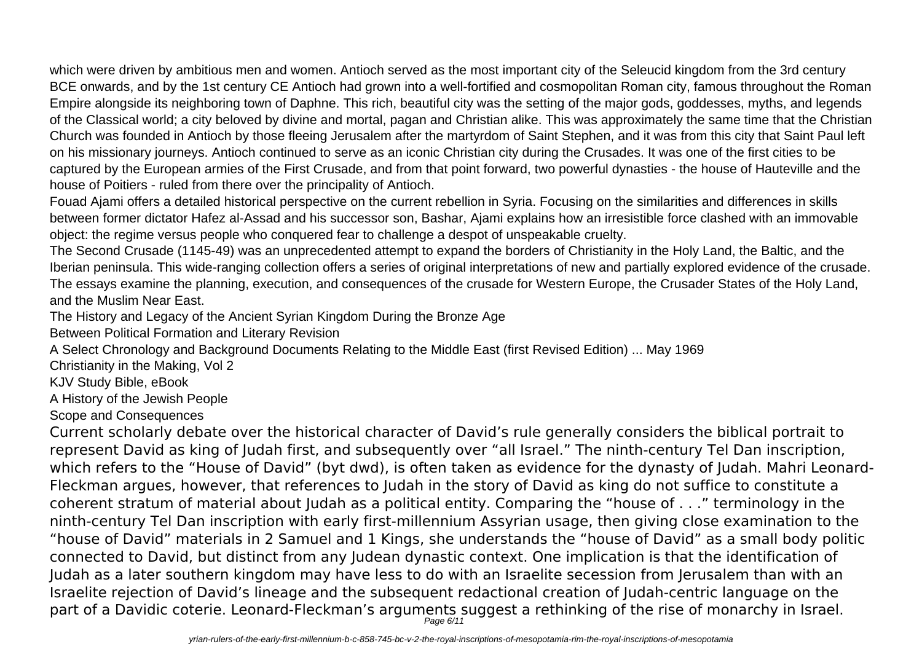which were driven by ambitious men and women. Antioch served as the most important city of the Seleucid kingdom from the 3rd century BCE onwards, and by the 1st century CE Antioch had grown into a well-fortified and cosmopolitan Roman city, famous throughout the Roman Empire alongside its neighboring town of Daphne. This rich, beautiful city was the setting of the major gods, goddesses, myths, and legends of the Classical world; a city beloved by divine and mortal, pagan and Christian alike. This was approximately the same time that the Christian Church was founded in Antioch by those fleeing Jerusalem after the martyrdom of Saint Stephen, and it was from this city that Saint Paul left on his missionary journeys. Antioch continued to serve as an iconic Christian city during the Crusades. It was one of the first cities to be captured by the European armies of the First Crusade, and from that point forward, two powerful dynasties - the house of Hauteville and the house of Poitiers - ruled from there over the principality of Antioch.

Fouad Ajami offers a detailed historical perspective on the current rebellion in Syria. Focusing on the similarities and differences in skills between former dictator Hafez al-Assad and his successor son, Bashar, Ajami explains how an irresistible force clashed with an immovable object: the regime versus people who conquered fear to challenge a despot of unspeakable cruelty.

The Second Crusade (1145-49) was an unprecedented attempt to expand the borders of Christianity in the Holy Land, the Baltic, and the Iberian peninsula. This wide-ranging collection offers a series of original interpretations of new and partially explored evidence of the crusade. The essays examine the planning, execution, and consequences of the crusade for Western Europe, the Crusader States of the Holy Land, and the Muslim Near East.

The History and Legacy of the Ancient Syrian Kingdom During the Bronze Age

Between Political Formation and Literary Revision

A Select Chronology and Background Documents Relating to the Middle East (first Revised Edition) ... May 1969

Christianity in the Making, Vol 2

KJV Study Bible, eBook

A History of the Jewish People

Scope and Consequences

Current scholarly debate over the historical character of David's rule generally considers the biblical portrait to represent David as king of Judah first, and subsequently over "all Israel." The ninth-century Tel Dan inscription, which refers to the "House of David" (byt dwd), is often taken as evidence for the dynasty of Judah. Mahri Leonard-Fleckman argues, however, that references to Judah in the story of David as king do not suffice to constitute a coherent stratum of material about Judah as a political entity. Comparing the "house of . . ." terminology in the ninth-century Tel Dan inscription with early first-millennium Assyrian usage, then giving close examination to the "house of David" materials in 2 Samuel and 1 Kings, she understands the "house of David" as a small body politic connected to David, but distinct from any Judean dynastic context. One implication is that the identification of Judah as a later southern kingdom may have less to do with an Israelite secession from Jerusalem than with an Israelite rejection of David's lineage and the subsequent redactional creation of Judah-centric language on the part of a Davidic coterie. Leonard-Fleckman's arguments suggest a rethinking of the rise of monarchy in Israel.<br>Page 6/11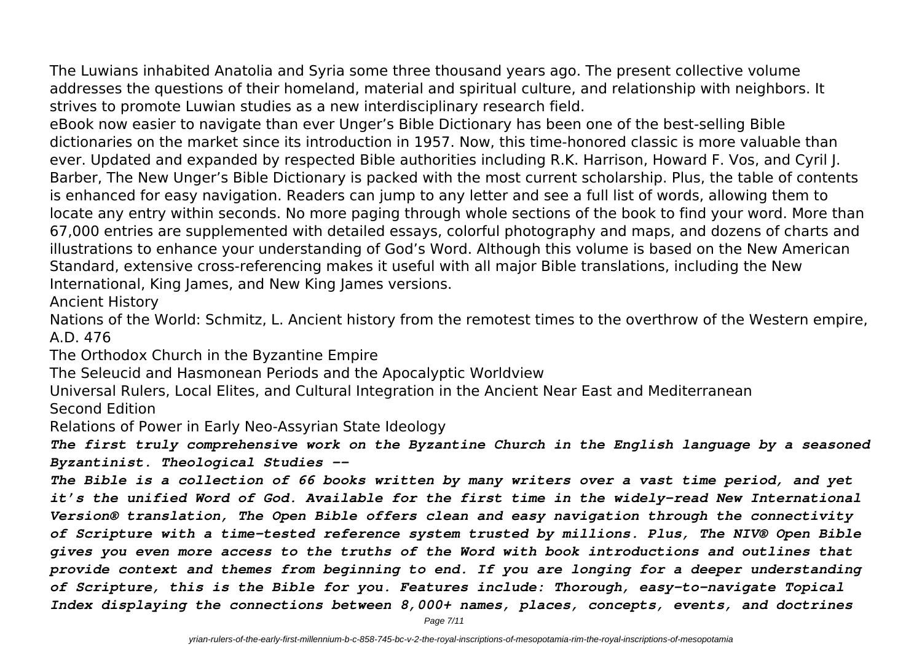The Luwians inhabited Anatolia and Syria some three thousand years ago. The present collective volume addresses the questions of their homeland, material and spiritual culture, and relationship with neighbors. It strives to promote Luwian studies as a new interdisciplinary research field.

eBook now easier to navigate than ever Unger's Bible Dictionary has been one of the best-selling Bible dictionaries on the market since its introduction in 1957. Now, this time-honored classic is more valuable than ever. Updated and expanded by respected Bible authorities including R.K. Harrison, Howard F. Vos, and Cyril J. Barber, The New Unger's Bible Dictionary is packed with the most current scholarship. Plus, the table of contents is enhanced for easy navigation. Readers can jump to any letter and see a full list of words, allowing them to locate any entry within seconds. No more paging through whole sections of the book to find your word. More than 67,000 entries are supplemented with detailed essays, colorful photography and maps, and dozens of charts and illustrations to enhance your understanding of God's Word. Although this volume is based on the New American Standard, extensive cross-referencing makes it useful with all major Bible translations, including the New International, King James, and New King James versions.

Ancient History

Nations of the World: Schmitz, L. Ancient history from the remotest times to the overthrow of the Western empire, A.D. 476

The Orthodox Church in the Byzantine Empire

The Seleucid and Hasmonean Periods and the Apocalyptic Worldview

Universal Rulers, Local Elites, and Cultural Integration in the Ancient Near East and Mediterranean Second Edition

Relations of Power in Early Neo-Assyrian State Ideology

*The first truly comprehensive work on the Byzantine Church in the English language by a seasoned Byzantinist. Theological Studies --*

*The Bible is a collection of 66 books written by many writers over a vast time period, and yet it's the unified Word of God. Available for the first time in the widely-read New International Version® translation, The Open Bible offers clean and easy navigation through the connectivity of Scripture with a time-tested reference system trusted by millions. Plus, The NIV® Open Bible gives you even more access to the truths of the Word with book introductions and outlines that provide context and themes from beginning to end. If you are longing for a deeper understanding of Scripture, this is the Bible for you. Features include: Thorough, easy-to-navigate Topical Index displaying the connections between 8,000+ names, places, concepts, events, and doctrines*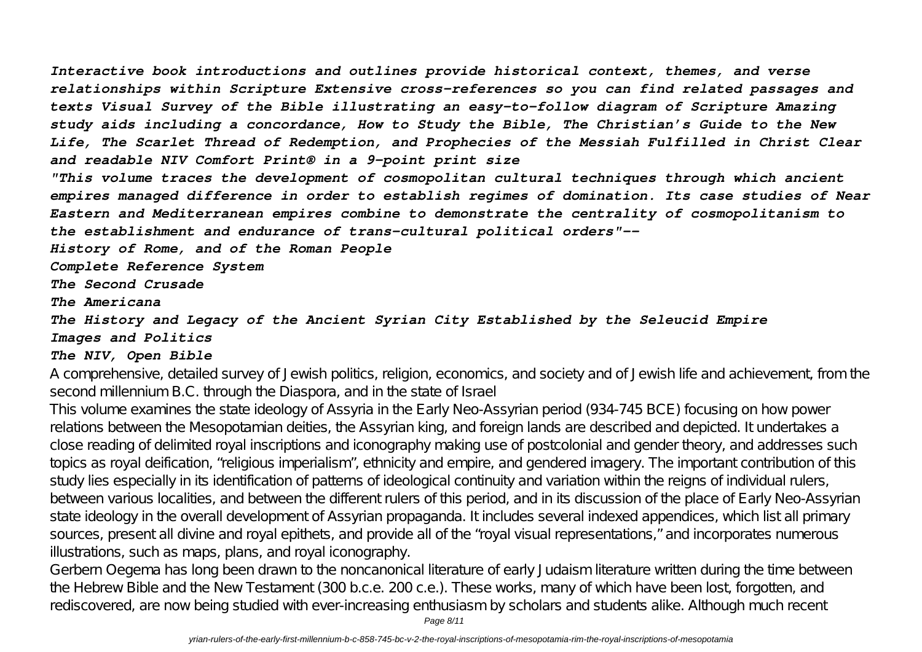*Interactive book introductions and outlines provide historical context, themes, and verse relationships within Scripture Extensive cross-references so you can find related passages and texts Visual Survey of the Bible illustrating an easy-to-follow diagram of Scripture Amazing study aids including a concordance, How to Study the Bible, The Christian's Guide to the New Life, The Scarlet Thread of Redemption, and Prophecies of the Messiah Fulfilled in Christ Clear and readable NIV Comfort Print® in a 9-point print size*

*"This volume traces the development of cosmopolitan cultural techniques through which ancient empires managed difference in order to establish regimes of domination. Its case studies of Near Eastern and Mediterranean empires combine to demonstrate the centrality of cosmopolitanism to the establishment and endurance of trans-cultural political orders"--*

*History of Rome, and of the Roman People*

*Complete Reference System*

*The Second Crusade*

*The Americana*

#### *The History and Legacy of the Ancient Syrian City Established by the Seleucid Empire Images and Politics*

#### *The NIV, Open Bible*

A comprehensive, detailed survey of Jewish politics, religion, economics, and society and of Jewish life and achievement, from the second millennium B.C. through the Diaspora, and in the state of Israel

This volume examines the state ideology of Assyria in the Early Neo-Assyrian period (934-745 BCE) focusing on how power relations between the Mesopotamian deities, the Assyrian king, and foreign lands are described and depicted. It undertakes a close reading of delimited royal inscriptions and iconography making use of postcolonial and gender theory, and addresses such topics as royal deification, "religious imperialism", ethnicity and empire, and gendered imagery. The important contribution of this study lies especially in its identification of patterns of ideological continuity and variation within the reigns of individual rulers, between various localities, and between the different rulers of this period, and in its discussion of the place of Early Neo-Assyrian state ideology in the overall development of Assyrian propaganda. It includes several indexed appendices, which list all primary sources, present all divine and royal epithets, and provide all of the "royal visual representations," and incorporates numerous illustrations, such as maps, plans, and royal iconography.

Gerbern Oegema has long been drawn to the noncanonical literature of early Judaism literature written during the time between the Hebrew Bible and the New Testament (300 b.c.e. 200 c.e.). These works, many of which have been lost, forgotten, and rediscovered, are now being studied with ever-increasing enthusiasm by scholars and students alike. Although much recent

Page 8/11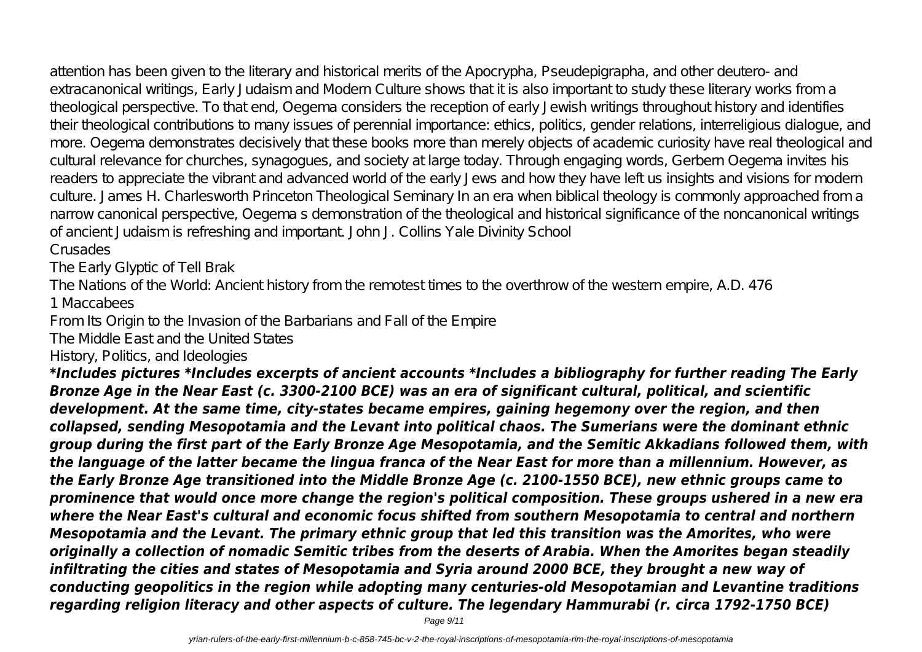attention has been given to the literary and historical merits of the Apocrypha, Pseudepigrapha, and other deutero- and extracanonical writings, Early Judaism and Modern Culture shows that it is also important to study these literary works from a theological perspective. To that end, Oegema considers the reception of early Jewish writings throughout history and identifies their theological contributions to many issues of perennial importance: ethics, politics, gender relations, interreligious dialogue, and more. Oegema demonstrates decisively that these books more than merely objects of academic curiosity have real theological and cultural relevance for churches, synagogues, and society at large today. Through engaging words, Gerbern Oegema invites his readers to appreciate the vibrant and advanced world of the early Jews and how they have left us insights and visions for modern culture. James H. Charlesworth Princeton Theological Seminary In an era when biblical theology is commonly approached from a narrow canonical perspective, Oegema s demonstration of the theological and historical significance of the noncanonical writings of ancient Judaism is refreshing and important. John J. Collins Yale Divinity School Crusades

The Early Glyptic of Tell Brak

The Nations of the World: Ancient history from the remotest times to the overthrow of the western empire, A.D. 476

1 Maccabees

From Its Origin to the Invasion of the Barbarians and Fall of the Empire

The Middle East and the United States

History, Politics, and Ideologies

*\*Includes pictures \*Includes excerpts of ancient accounts \*Includes a bibliography for further reading The Early Bronze Age in the Near East (c. 3300-2100 BCE) was an era of significant cultural, political, and scientific development. At the same time, city-states became empires, gaining hegemony over the region, and then collapsed, sending Mesopotamia and the Levant into political chaos. The Sumerians were the dominant ethnic group during the first part of the Early Bronze Age Mesopotamia, and the Semitic Akkadians followed them, with the language of the latter became the lingua franca of the Near East for more than a millennium. However, as the Early Bronze Age transitioned into the Middle Bronze Age (c. 2100-1550 BCE), new ethnic groups came to prominence that would once more change the region's political composition. These groups ushered in a new era where the Near East's cultural and economic focus shifted from southern Mesopotamia to central and northern Mesopotamia and the Levant. The primary ethnic group that led this transition was the Amorites, who were originally a collection of nomadic Semitic tribes from the deserts of Arabia. When the Amorites began steadily infiltrating the cities and states of Mesopotamia and Syria around 2000 BCE, they brought a new way of conducting geopolitics in the region while adopting many centuries-old Mesopotamian and Levantine traditions regarding religion literacy and other aspects of culture. The legendary Hammurabi (r. circa 1792-1750 BCE)*

Page 9/11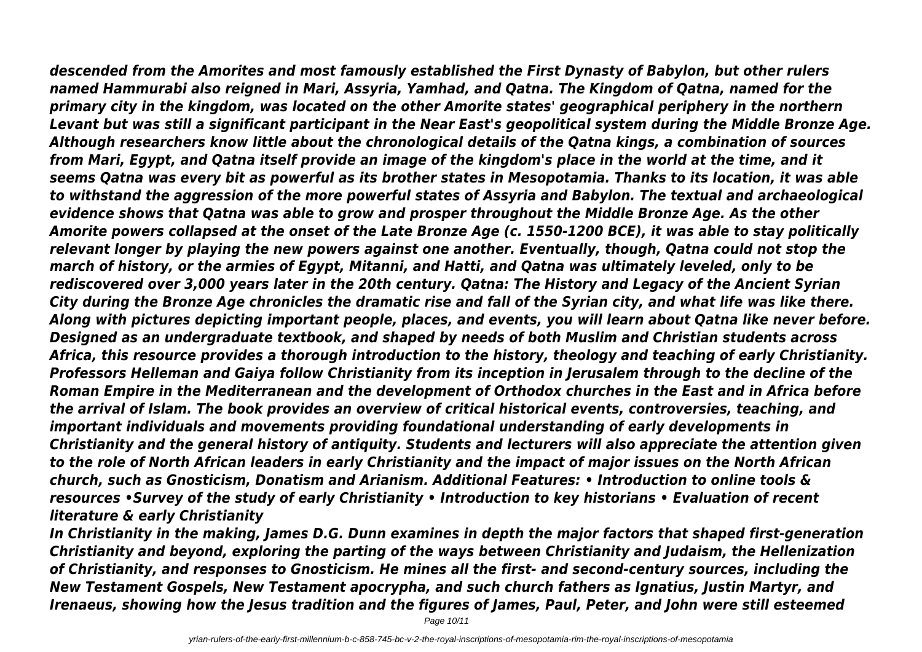*descended from the Amorites and most famously established the First Dynasty of Babylon, but other rulers named Hammurabi also reigned in Mari, Assyria, Yamhad, and Qatna. The Kingdom of Qatna, named for the primary city in the kingdom, was located on the other Amorite states' geographical periphery in the northern Levant but was still a significant participant in the Near East's geopolitical system during the Middle Bronze Age. Although researchers know little about the chronological details of the Qatna kings, a combination of sources from Mari, Egypt, and Qatna itself provide an image of the kingdom's place in the world at the time, and it seems Qatna was every bit as powerful as its brother states in Mesopotamia. Thanks to its location, it was able to withstand the aggression of the more powerful states of Assyria and Babylon. The textual and archaeological evidence shows that Qatna was able to grow and prosper throughout the Middle Bronze Age. As the other Amorite powers collapsed at the onset of the Late Bronze Age (c. 1550-1200 BCE), it was able to stay politically relevant longer by playing the new powers against one another. Eventually, though, Qatna could not stop the march of history, or the armies of Egypt, Mitanni, and Hatti, and Qatna was ultimately leveled, only to be rediscovered over 3,000 years later in the 20th century. Qatna: The History and Legacy of the Ancient Syrian City during the Bronze Age chronicles the dramatic rise and fall of the Syrian city, and what life was like there. Along with pictures depicting important people, places, and events, you will learn about Qatna like never before. Designed as an undergraduate textbook, and shaped by needs of both Muslim and Christian students across Africa, this resource provides a thorough introduction to the history, theology and teaching of early Christianity. Professors Helleman and Gaiya follow Christianity from its inception in Jerusalem through to the decline of the Roman Empire in the Mediterranean and the development of Orthodox churches in the East and in Africa before the arrival of Islam. The book provides an overview of critical historical events, controversies, teaching, and important individuals and movements providing foundational understanding of early developments in Christianity and the general history of antiquity. Students and lecturers will also appreciate the attention given to the role of North African leaders in early Christianity and the impact of major issues on the North African church, such as Gnosticism, Donatism and Arianism. Additional Features: • Introduction to online tools & resources •Survey of the study of early Christianity • Introduction to key historians • Evaluation of recent literature & early Christianity*

*In Christianity in the making, James D.G. Dunn examines in depth the major factors that shaped first-generation Christianity and beyond, exploring the parting of the ways between Christianity and Judaism, the Hellenization of Christianity, and responses to Gnosticism. He mines all the first- and second-century sources, including the New Testament Gospels, New Testament apocrypha, and such church fathers as Ignatius, Justin Martyr, and Irenaeus, showing how the Jesus tradition and the figures of James, Paul, Peter, and John were still esteemed*

Page 10/11